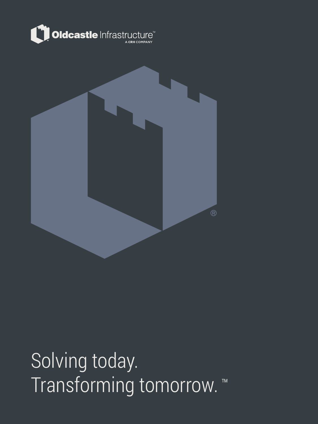



Solving today. Transforming tomorrow. ™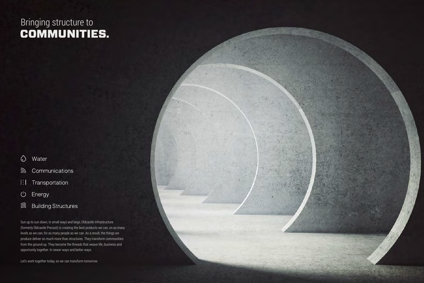Sun up to sun down, in small ways and large, Oldcastle Infrastructure (formerly Oldcastle Precast) is creating the best products we can, on as many levels as we can, for as many people as we can. As a result, the things we produce deliver so much more than structures. They transform communities from the ground up. They become the threads that weave life, business and opportunity together. In newer ways and better ways.

Let's work together today, so we can transform tomorrow.



### COMMUNITIES. Bringing structure to

- $\bigcirc$ Water
- <u>কী</u> Communications
- $\left\lceil \frac{1}{2} \right\rceil$ Transportation
- $\bigcup$ Energy
- ③ **Building Structures**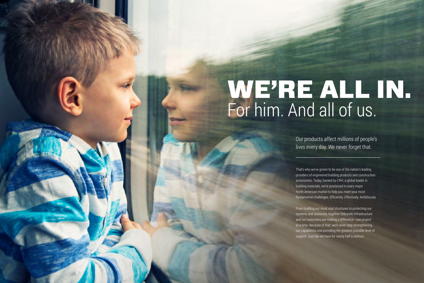Our products affect millions of people's lives every day. We never forget that.

That's why we've grown to be one of the nation's leading providers of engineered building products and construction accessories. Today, backed by CRH, a global leader in building materials, we're positioned in every major North American market to help you meet your most fundamental challenges. Efficiently. Effectively. Ambitiously.



# WE'RE ALL IN. For him. And all of us.

From building our most vital structures to protecting our systems and resources, together Oldcastle Infrastructure and our customers are making a difference—one project at a time. Because of that, we'll never stop strengthening our capabilities and providing the greatest possible level of support. Just like we have for nearly half a century.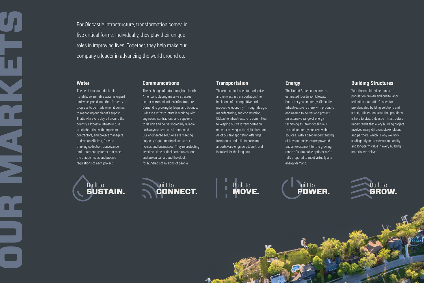### **Communications**

The exchange of data throughout North America is placing massive stresses on our communications infrastructure. Demand is growing by leaps and bounds. Oldcastle Infrastructure is working with engineers, contractors, and suppliers to design and deliver incredibly reliable pathways to keep us all connected. Our engineered solutions are meeting capacity requirements closer to our homes and businesses. They're protecting sensitive, time-critical communications and are on call around the clock, for hundreds of millions of people.

### **Energy**

The United States consumes an estimated four trillion kilowatt hours per year in energy. Oldcastle Infrastructure is there with products engineered to deliver and protect an extensive range of energy technologies—from fossil fuels to nuclear energy and renewable sources. With a deep understanding of how our societies are powered and an excitement for the growing range of sustainable options, we're fully prepared to meet virtually any energy demand.

### **Water**

OUR MARKETS

The need to secure drinkable, fishable, swimmable water is urgent and widespread, and there's plenty of progress to be made when it comes to managing our planet's supply. That's why every day, all around the country, Oldcastle Infrastructure is collaborating with engineers, contractors, and project managers to develop efficient, forwardthinking collection, conveyance and treatment systems that meet the unique needs and precise regulations of each project.

### **Transportation**

There's a critical need to modernize and reinvest in transportation, the backbone of a competitive and productive economy. Through design, manufacturing, and construction, Oldcastle Infrastructure is committed to keeping our vast transportation network moving in the right direction. All of our transportation offerings from roads and rails to ports and airports—are engineered, built, and installed for the long haul.

### **Building Structures**

With the combined demands of population growth and onsite labor reduction, our nation's need for prefabricated building solutions and smart, efficient construction practices is here to stay. Oldcastle Infrastructure understands that every building project involves many different stakeholders and partners, which is why we work so diligently to provide sustainability and long-term value in every building material we deliver.





MOVE. Built to





For Oldcastle Infrastructure, transformation comes in five critical forms. Individually, they play their unique roles in improving lives. Together, they help make our company a leader in advancing the world around us.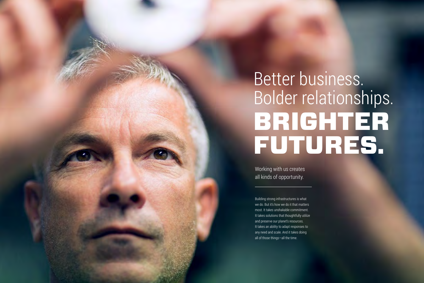# BRIGHTER FUTURES. Better business. Bolder relationships.



Working with us creates all kinds of opportunity.

Building strong infrastructures is what we do. But it's how we do it that matters most. It takes unshakable commitment. It takes solutions that thoughtfully utilize and preserve our planet's resources. It takes an ability to adapt responses to any need and scale. And it takes doing all of those things—all the time.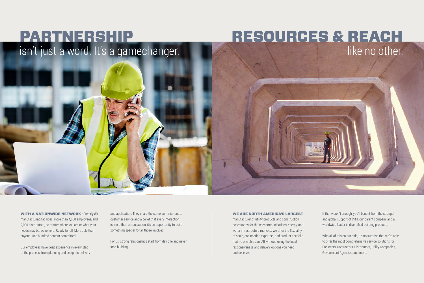## PARTNERSHIP RESOURCES & REACH isn't just a word. It's a gamechanger.



**WITH A NATIONWIDE NETWORK** of nearly 80 manufacturing facilities, more than 4,000 employees, and 2,000 distributors, no matter where you are or what your needs may be, we're here. Ready to roll. More able than anyone. One hundred percent committed.

Our employees have deep experience in every step of the process, from planning and design to delivery and application. They share the same commitment to customer service and a belief that every interaction is more than a transaction, it's an opportunity to build something special for all those involved.

For us, strong relationships start from day one and never stop building.

### WE ARE NORTH AMERICA'S LARGEST

manufacturer of utility products and construction accessories for the telecommunications, energy, and water infrastructure markets. We offer the flexibility of scale, engineering expertise, and product portfolio that no one else can. All without losing the local responsiveness and delivery options you need and deserve.

If that weren't enough, you'll benefit from the strength and global support of CRH, our parent company and a worldwide leader in diversified building products.

With all of this on our side, it's no surprise that we're able to offer the most comprehensive service solutions for Engineers, Contractors, Distributors, Utility Companies, Government Agencies, and more.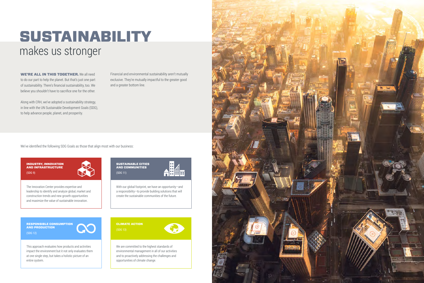The Innovation Center provides expertise and leadership to identify and analyze global, market and construction trends and new growth opportunities and maximize the value of sustainable innovation.

INDUSTRY, INNOVATION AND INFRASTRUCTURE (SDG 9)

WE'RE ALL IN THIS TOGETHER. We all need to do our part to help the planet. But that's just one part of sustainability. There's financial sustainability, too. We believe you shouldn't have to sacrifice one for the other.

Along with CRH, we've adopted a sustainability strategy, in line with the UN Sustainable Development Goals (SDG), to help advance people, planet, and prosperity.

Financial and environmental sustainability aren't mutually exclusive. They're mutually impactful to the greater good and a greater bottom line.

We've identified the following SDG Goals as those that align most with our business:

We are committed to the highest standards of environmental management in all of our activities and to proactively addressing the challenges and opportunities of climate change.



### CLIMATE ACTION (SDG 13)



With our global footprint, we have an opportunity—and a responsibility—to provide building solutions that will create the sustainable communities of the future.

### SUSTAINABLE CITIES AND COMMUNITIES (SDG 11)



This approach evaluates how products and activities impact the environment but it not only evaluates them at one single step, but takes a holistic picture of an entire system.

RESPONSIBLE CONSUMPTION AND PRODUCTION (SDG 12)



## SUSTAINABILITY makes us stronger